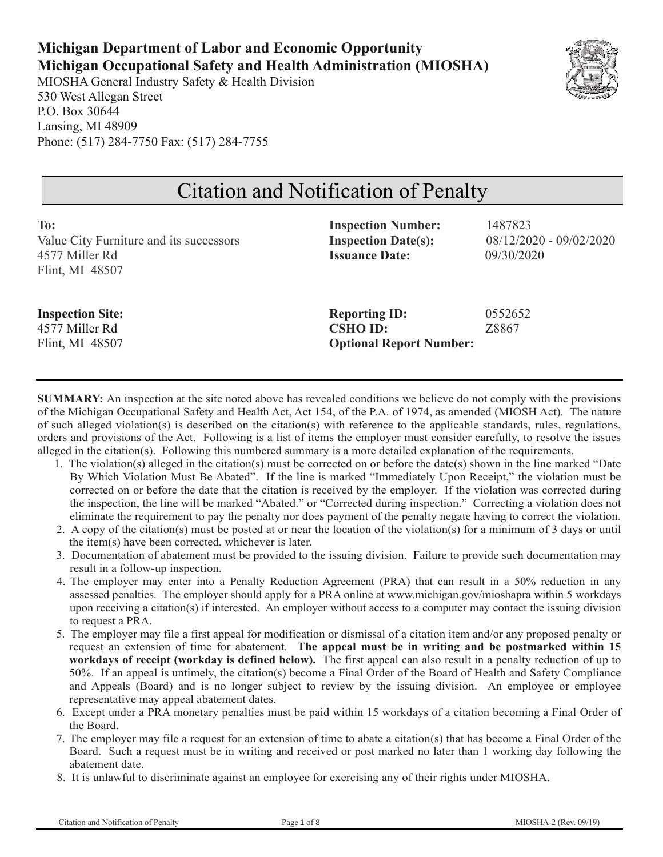### **Michigan Department of Labor and Economic Opportunity Michigan Occupational Safety and Health Administration (MIOSHA)**

MIOSHA General Industry Safety & Health Division 530 West Allegan Street P.O. Box 30644 Lansing, MI 48909 Phone: (517) 284-7750 Fax: (517) 284-7755



# Citation and Notification of Penalty

| To:<br>Value City Furniture and its successors<br>4577 Miller Rd<br>Flint, MI 48507 | <b>Inspection Number:</b><br><b>Inspection Date(s):</b><br><b>Issuance Date:</b> | 1487823<br>$08/12/2020 - 09/02/2020$<br>09/30/2020 |
|-------------------------------------------------------------------------------------|----------------------------------------------------------------------------------|----------------------------------------------------|
| <b>Inspection Site:</b><br>4577 Miller Rd<br>Flint, MI 48507                        | <b>Reporting ID:</b><br><b>CSHO ID:</b><br><b>Optional Report Number:</b>        | 0552652<br>Z8867                                   |

**SUMMARY:** An inspection at the site noted above has revealed conditions we believe do not comply with the provisions of the Michigan Occupational Safety and Health Act, Act 154, of the P.A. of 1974, as amended (MIOSH Act). The nature of such alleged violation(s) is described on the citation(s) with reference to the applicable standards, rules, regulations, orders and provisions of the Act. Following is a list of items the employer must consider carefully, to resolve the issues alleged in the citation(s). Following this numbered summary is a more detailed explanation of the requirements.

- 1. The violation(s) alleged in the citation(s) must be corrected on or before the date(s) shown in the line marked "Date By Which Violation Must Be Abated". If the line is marked "Immediately Upon Receipt," the violation must be corrected on or before the date that the citation is received by the employer. If the violation was corrected during the inspection, the line will be marked "Abated." or "Corrected during inspection." Correcting a violation does not eliminate the requirement to pay the penalty nor does payment of the penalty negate having to correct the violation.
- 2. A copy of the citation(s) must be posted at or near the location of the violation(s) for a minimum of 3 days or until the item(s) have been corrected, whichever is later.
- 3. Documentation of abatement must be provided to the issuing division. Failure to provide such documentation may result in a follow-up inspection.
- 4. The employer may enter into a Penalty Reduction Agreement (PRA) that can result in a 50% reduction in any assessed penalties. The employer should apply for a PRA online at www.michigan.gov/mioshapra within 5 workdays upon receiving a citation(s) if interested. An employer without access to a computer may contact the issuing division to request a PRA.
- 5. The employer may file a first appeal for modification or dismissal of a citation item and/or any proposed penalty or request an extension of time for abatement. **The appeal must be in writing and be postmarked within 15 workdays of receipt (workday is defined below).** The first appeal can also result in a penalty reduction of up to 50%. If an appeal is untimely, the citation(s) become a Final Order of the Board of Health and Safety Compliance and Appeals (Board) and is no longer subject to review by the issuing division. An employee or employee representative may appeal abatement dates.
- 6. Except under a PRA monetary penalties must be paid within 15 workdays of a citation becoming a Final Order of the Board.
- 7. The employer may file a request for an extension of time to abate a citation(s) that has become a Final Order of the Board. Such a request must be in writing and received or post marked no later than 1 working day following the abatement date.
- 8. It is unlawful to discriminate against an employee for exercising any of their rights under MIOSHA.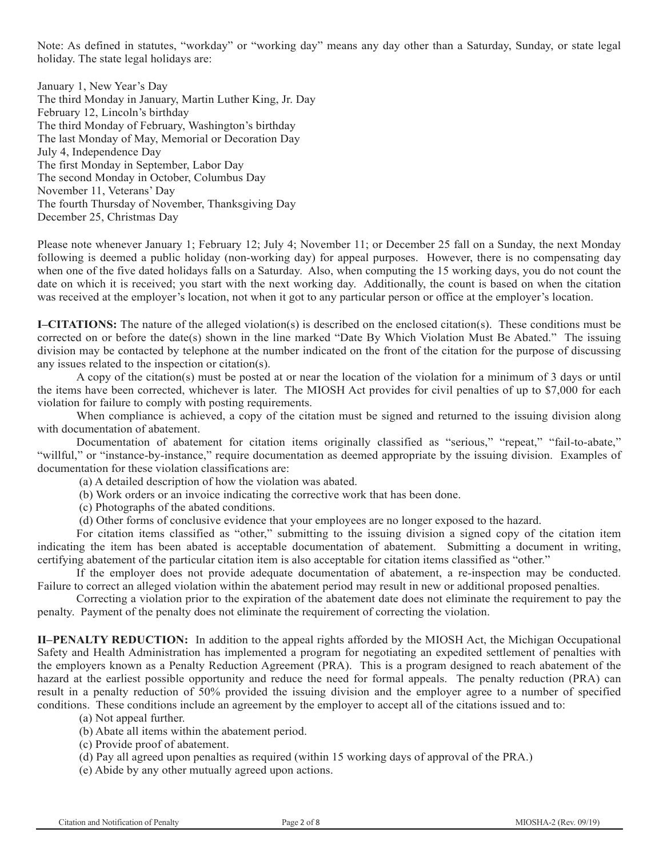Note: As defined in statutes, "workday" or "working day" means any day other than a Saturday, Sunday, or state legal holiday. The state legal holidays are:

January 1, New Year's Day The third Monday in January, Martin Luther King, Jr. Day February 12, Lincoln's birthday The third Monday of February, Washington's birthday The last Monday of May, Memorial or Decoration Day July 4, Independence Day The first Monday in September, Labor Day The second Monday in October, Columbus Day November 11, Veterans' Day The fourth Thursday of November, Thanksgiving Day December 25, Christmas Day

Please note whenever January 1; February 12; July 4; November 11; or December 25 fall on a Sunday, the next Monday following is deemed a public holiday (non-working day) for appeal purposes. However, there is no compensating day when one of the five dated holidays falls on a Saturday. Also, when computing the 15 working days, you do not count the date on which it is received; you start with the next working day. Additionally, the count is based on when the citation was received at the employer's location, not when it got to any particular person or office at the employer's location.

**I–CITATIONS:** The nature of the alleged violation(s) is described on the enclosed citation(s). These conditions must be corrected on or before the date(s) shown in the line marked "Date By Which Violation Must Be Abated." The issuing division may be contacted by telephone at the number indicated on the front of the citation for the purpose of discussing any issues related to the inspection or citation(s).

A copy of the citation(s) must be posted at or near the location of the violation for a minimum of 3 days or until the items have been corrected, whichever is later. The MIOSH Act provides for civil penalties of up to \$7,000 for each violation for failure to comply with posting requirements.

When compliance is achieved, a copy of the citation must be signed and returned to the issuing division along with documentation of abatement.

Documentation of abatement for citation items originally classified as "serious," "repeat," "fail-to-abate," "willful," or "instance-by-instance," require documentation as deemed appropriate by the issuing division. Examples of documentation for these violation classifications are:

(a) A detailed description of how the violation was abated.

(b) Work orders or an invoice indicating the corrective work that has been done.

(c) Photographs of the abated conditions.

(d) Other forms of conclusive evidence that your employees are no longer exposed to the hazard.

For citation items classified as "other," submitting to the issuing division a signed copy of the citation item indicating the item has been abated is acceptable documentation of abatement. Submitting a document in writing, certifying abatement of the particular citation item is also acceptable for citation items classified as "other."

If the employer does not provide adequate documentation of abatement, a re-inspection may be conducted. Failure to correct an alleged violation within the abatement period may result in new or additional proposed penalties.

Correcting a violation prior to the expiration of the abatement date does not eliminate the requirement to pay the penalty. Payment of the penalty does not eliminate the requirement of correcting the violation.

**II–PENALTY REDUCTION:** In addition to the appeal rights afforded by the MIOSH Act, the Michigan Occupational Safety and Health Administration has implemented a program for negotiating an expedited settlement of penalties with the employers known as a Penalty Reduction Agreement (PRA). This is a program designed to reach abatement of the hazard at the earliest possible opportunity and reduce the need for formal appeals. The penalty reduction (PRA) can result in a penalty reduction of 50% provided the issuing division and the employer agree to a number of specified conditions. These conditions include an agreement by the employer to accept all of the citations issued and to:

(a) Not appeal further.

(b) Abate all items within the abatement period.

- (c) Provide proof of abatement.
- (d) Pay all agreed upon penalties as required (within 15 working days of approval of the PRA.)
- (e) Abide by any other mutually agreed upon actions.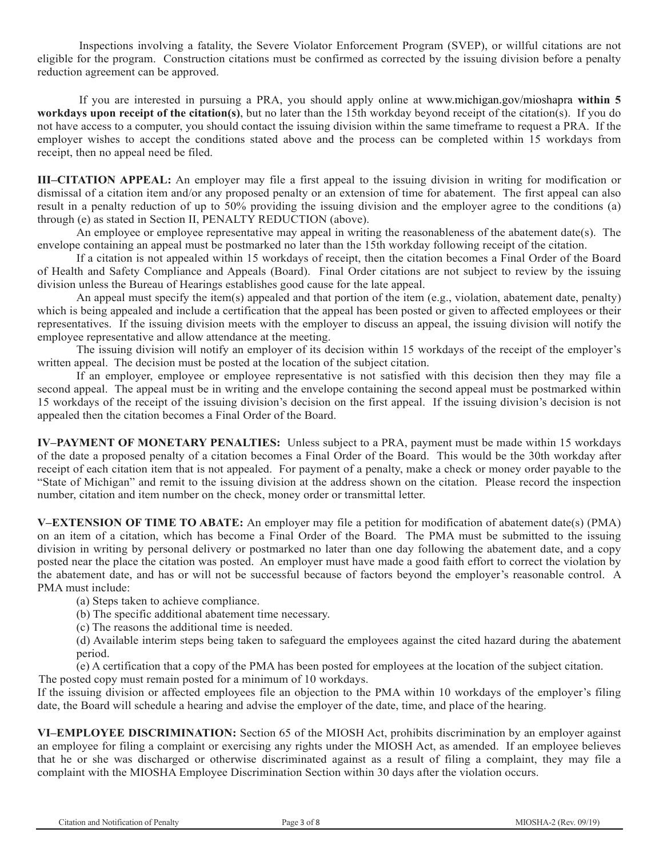Inspections involving a fatality, the Severe Violator Enforcement Program (SVEP), or willful citations are not eligible for the program. Construction citations must be confirmed as corrected by the issuing division before a penalty reduction agreement can be approved.

If you are interested in pursuing a PRA, you should apply online at www.michigan.gov/mioshapra **within 5 workdays upon receipt of the citation(s)**, but no later than the 15th workday beyond receipt of the citation(s). If you do not have access to a computer, you should contact the issuing division within the same timeframe to request a PRA. If the employer wishes to accept the conditions stated above and the process can be completed within 15 workdays from receipt, then no appeal need be filed.

**III–CITATION APPEAL:** An employer may file a first appeal to the issuing division in writing for modification or dismissal of a citation item and/or any proposed penalty or an extension of time for abatement. The first appeal can also result in a penalty reduction of up to 50% providing the issuing division and the employer agree to the conditions (a) through (e) as stated in Section II, PENALTY REDUCTION (above).

An employee or employee representative may appeal in writing the reasonableness of the abatement date(s). The envelope containing an appeal must be postmarked no later than the 15th workday following receipt of the citation.

If a citation is not appealed within 15 workdays of receipt, then the citation becomes a Final Order of the Board of Health and Safety Compliance and Appeals (Board). Final Order citations are not subject to review by the issuing division unless the Bureau of Hearings establishes good cause for the late appeal.

An appeal must specify the item(s) appealed and that portion of the item (e.g., violation, abatement date, penalty) which is being appealed and include a certification that the appeal has been posted or given to affected employees or their representatives. If the issuing division meets with the employer to discuss an appeal, the issuing division will notify the employee representative and allow attendance at the meeting.

The issuing division will notify an employer of its decision within 15 workdays of the receipt of the employer's written appeal. The decision must be posted at the location of the subject citation.

If an employer, employee or employee representative is not satisfied with this decision then they may file a second appeal. The appeal must be in writing and the envelope containing the second appeal must be postmarked within 15 workdays of the receipt of the issuing division's decision on the first appeal. If the issuing division's decision is not appealed then the citation becomes a Final Order of the Board.

**IV–PAYMENT OF MONETARY PENALTIES:** Unless subject to a PRA, payment must be made within 15 workdays of the date a proposed penalty of a citation becomes a Final Order of the Board. This would be the 30th workday after receipt of each citation item that is not appealed. For payment of a penalty, make a check or money order payable to the "State of Michigan" and remit to the issuing division at the address shown on the citation. Please record the inspection number, citation and item number on the check, money order or transmittal letter.

**V–EXTENSION OF TIME TO ABATE:** An employer may file a petition for modification of abatement date(s) (PMA) on an item of a citation, which has become a Final Order of the Board. The PMA must be submitted to the issuing division in writing by personal delivery or postmarked no later than one day following the abatement date, and a copy posted near the place the citation was posted. An employer must have made a good faith effort to correct the violation by the abatement date, and has or will not be successful because of factors beyond the employer's reasonable control. A PMA must include:

(a) Steps taken to achieve compliance.

(b) The specific additional abatement time necessary.

(c) The reasons the additional time is needed.

(d) Available interim steps being taken to safeguard the employees against the cited hazard during the abatement period.

(e) A certification that a copy of the PMA has been posted for employees at the location of the subject citation. The posted copy must remain posted for a minimum of 10 workdays.

If the issuing division or affected employees file an objection to the PMA within 10 workdays of the employer's filing date, the Board will schedule a hearing and advise the employer of the date, time, and place of the hearing.

**VI–EMPLOYEE DISCRIMINATION:** Section 65 of the MIOSH Act, prohibits discrimination by an employer against an employee for filing a complaint or exercising any rights under the MIOSH Act, as amended. If an employee believes that he or she was discharged or otherwise discriminated against as a result of filing a complaint, they may file a complaint with the MIOSHA Employee Discrimination Section within 30 days after the violation occurs.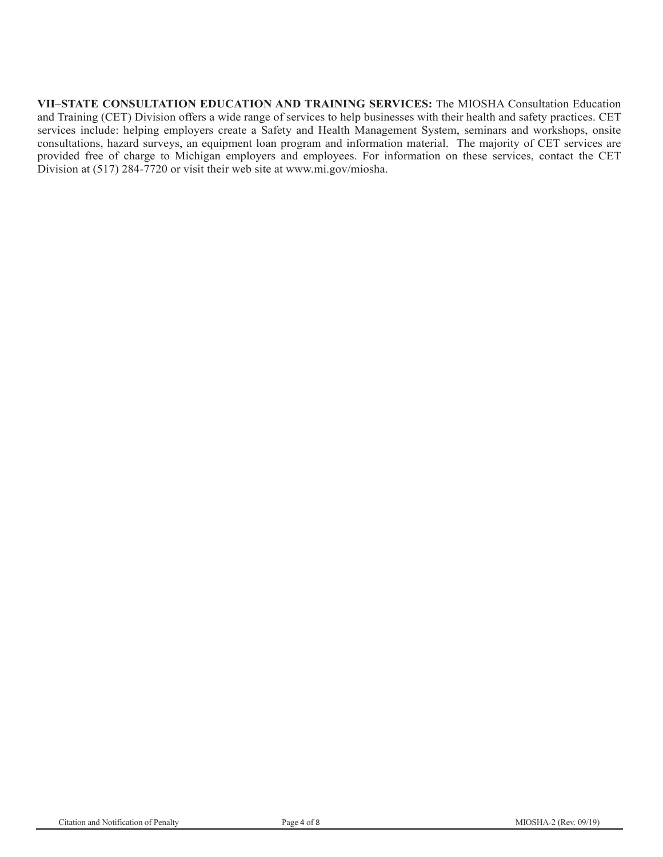**VII–STATE CONSULTATION EDUCATION AND TRAINING SERVICES:** The MIOSHA Consultation Education and Training (CET) Division offers a wide range of services to help businesses with their health and safety practices. CET services include: helping employers create a Safety and Health Management System, seminars and workshops, onsite consultations, hazard surveys, an equipment loan program and information material. The majority of CET services are provided free of charge to Michigan employers and employees. For information on these services, contact the CET Division at (517) 284-7720 or visit their web site at www.mi.gov/miosha.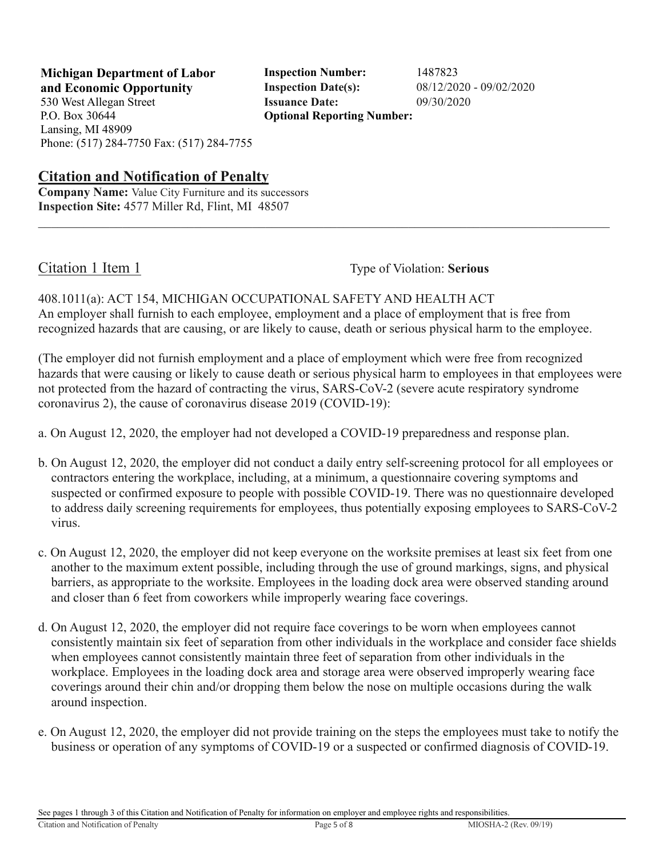**and Economic Opportunity Inspection Date(s):** 08/12/2020 - 09/02/2020 530 West Allegan Street **Issuance Date:** 09/30/2020 P.O. Box 30644 Lansing, MI 48909 Phone: (517) 284-7750 Fax: (517) 284-7755

**Michigan Department of Labor Inspection Number:** 1487823 **Optional Reporting Number:** 

#### **Citation and Notification of Penalty**

**Company Name:** Value City Furniture and its successors **Inspection Site:** 4577 Miller Rd, Flint, MI 48507

Citation 1 Item 1 Type of Violation: **Serious** 

#### 408.1011(a): ACT 154, MICHIGAN OCCUPATIONAL SAFETY AND HEALTH ACT An employer shall furnish to each employee, employment and a place of employment that is free from recognized hazards that are causing, or are likely to cause, death or serious physical harm to the employee.

(The employer did not furnish employment and a place of employment which were free from recognized hazards that were causing or likely to cause death or serious physical harm to employees in that employees were not protected from the hazard of contracting the virus, SARS-CoV-2 (severe acute respiratory syndrome coronavirus 2), the cause of coronavirus disease 2019 (COVID-19):

a. On August 12, 2020, the employer had not developed a COVID-19 preparedness and response plan.

- b. On August 12, 2020, the employer did not conduct a daily entry self-screening protocol for all employees or contractors entering the workplace, including, at a minimum, a questionnaire covering symptoms and suspected or confirmed exposure to people with possible COVID-19. There was no questionnaire developed to address daily screening requirements for employees, thus potentially exposing employees to SARS-CoV-2 virus.
- c. On August 12, 2020, the employer did not keep everyone on the worksite premises at least six feet from one another to the maximum extent possible, including through the use of ground markings, signs, and physical barriers, as appropriate to the worksite. Employees in the loading dock area were observed standing around and closer than 6 feet from coworkers while improperly wearing face coverings.
- d. On August 12, 2020, the employer did not require face coverings to be worn when employees cannot consistently maintain six feet of separation from other individuals in the workplace and consider face shields when employees cannot consistently maintain three feet of separation from other individuals in the workplace. Employees in the loading dock area and storage area were observed improperly wearing face coverings around their chin and/or dropping them below the nose on multiple occasions during the walk around inspection.
- e. On August 12, 2020, the employer did not provide training on the steps the employees must take to notify the business or operation of any symptoms of COVID-19 or a suspected or confirmed diagnosis of COVID-19.

See pages 1 through 3 of this Citation and Notification of Penalty for information on employer and employee rights and responsibilities.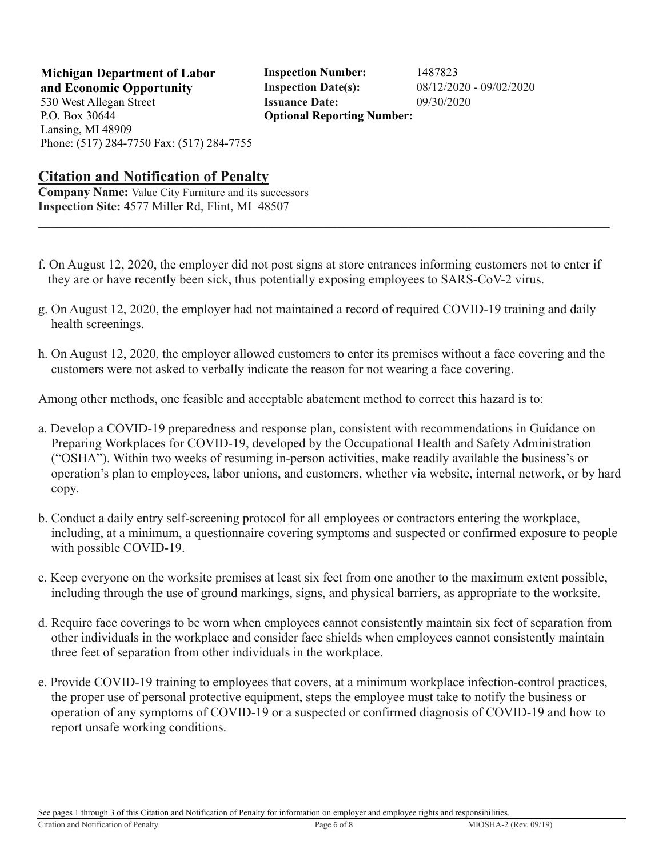530 West Allegan Street **Issuance Date:** 09/30/2020 P.O. Box 30644 Lansing, MI 48909 Phone: (517) 284-7750 Fax: (517) 284-7755

**Michigan Department of Labor Inspection Number:** 1487823 **and Economic Opportunity Inspection Date(s):** 08/12/2020 - 09/02/2020 **Optional Reporting Number:** 

#### **Citation and Notification of Penalty**

**Company Name:** Value City Furniture and its successors **Inspection Site:** 4577 Miller Rd, Flint, MI 48507

- f. On August 12, 2020, the employer did not post signs at store entrances informing customers not to enter if they are or have recently been sick, thus potentially exposing employees to SARS-CoV-2 virus.
- g. On August 12, 2020, the employer had not maintained a record of required COVID-19 training and daily health screenings.
- h. On August 12, 2020, the employer allowed customers to enter its premises without a face covering and the customers were not asked to verbally indicate the reason for not wearing a face covering.

Among other methods, one feasible and acceptable abatement method to correct this hazard is to:

- a. Develop a COVID-19 preparedness and response plan, consistent with recommendations in Guidance on Preparing Workplaces for COVID-19, developed by the Occupational Health and Safety Administration ("OSHA"). Within two weeks of resuming in-person activities, make readily available the business's or operation's plan to employees, labor unions, and customers, whether via website, internal network, or by hard copy.
- b. Conduct a daily entry self-screening protocol for all employees or contractors entering the workplace, including, at a minimum, a questionnaire covering symptoms and suspected or confirmed exposure to people with possible COVID-19.
- c. Keep everyone on the worksite premises at least six feet from one another to the maximum extent possible, including through the use of ground markings, signs, and physical barriers, as appropriate to the worksite.
- d. Require face coverings to be worn when employees cannot consistently maintain six feet of separation from other individuals in the workplace and consider face shields when employees cannot consistently maintain three feet of separation from other individuals in the workplace.
- e. Provide COVID-19 training to employees that covers, at a minimum workplace infection-control practices, the proper use of personal protective equipment, steps the employee must take to notify the business or operation of any symptoms of COVID-19 or a suspected or confirmed diagnosis of COVID-19 and how to report unsafe working conditions.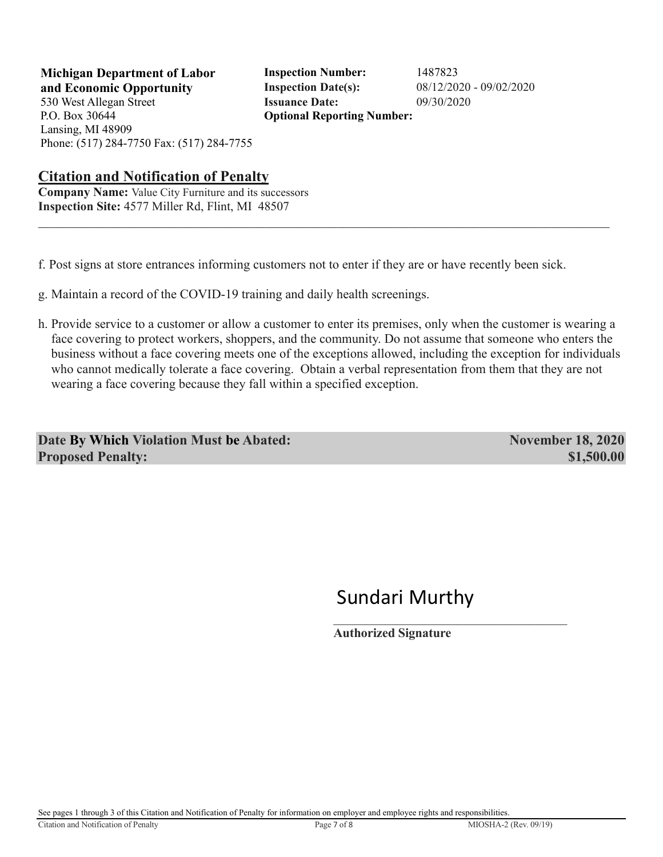P.O. Box 30644 Lansing, MI 48909

**Michigan Department of Labor Inspection Number:** 1487823 **and Economic Opportunity Inspection Date(s):** 08/12/2020 - 09/02/2020 530 West Allegan Street **Issuance Date:** 09/30/2020 **Optional Reporting Number:** 

#### **Citation and Notification of Penalty**

Phone: (517) 284-7750 Fax: (517) 284-7755

**Company Name:** Value City Furniture and its successors **Inspection Site:** 4577 Miller Rd, Flint, MI 48507

f. Post signs at store entrances informing customers not to enter if they are or have recently been sick.

- g. Maintain a record of the COVID-19 training and daily health screenings.
- h. Provide service to a customer or allow a customer to enter its premises, only when the customer is wearing a face covering to protect workers, shoppers, and the community. Do not assume that someone who enters the business without a face covering meets one of the exceptions allowed, including the exception for individuals who cannot medically tolerate a face covering. Obtain a verbal representation from them that they are not wearing a face covering because they fall within a specified exception.

**Date By Which Violation Must be Abated:** November 18, 2020 **Proposed Penalty: \$1,500.00 \$1,500.00** 

## Sundari Murthy

**Authorized Signature**